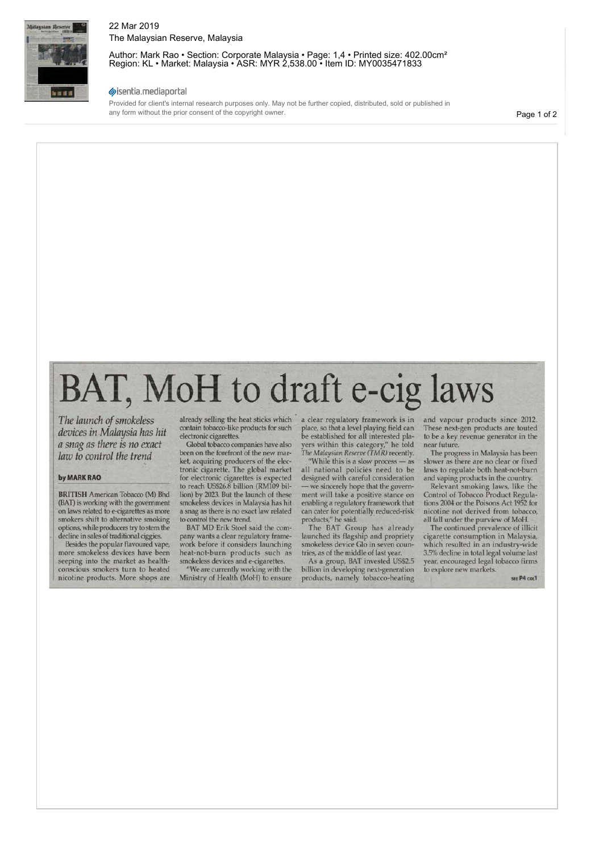

## 22 Mar 2019 The Malaysian Reserve, Malaysia

Author: Mark Rao • Section: Corporate Malaysia • Page: 1,4 • Printed size: 402.00cm<sup>2</sup> Region: KL • Market: Malaysia • ASR: MYR 2,538.00 • Item ID: MY0035471833

### sisentia.mediaportal

Provided for client's internal research purposes only. May not be further copied, distributed, sold or published in any form without the prior consent of the copyright owner.

Page 1 of 2

# BAT, MoH to draft e-cig laws

*The launch of smokeless devices in Malaysia has hit a snag as there is no exact law to control the trend* 

#### **by MARK RAO**

**BRITISH** American Tobacco (M) Bhd (BAT) is working with the government on laws related to e-cigarettes as more smokers shift to alternative smoking options, while producers try to stem the decline in sales of traditional ciggies.

Besides the popular flavoured vape, more smokeless devices have been seeping into the market as healthconscious smokers turn to heated nicotine products. More shops are

already selling the heat sticks which contain tobacco-like products for such electronic cigarettes.

Global tobacco companies have also been on the forefront of the new market, acquiring producers of the electronic cigarette. The global market for electronic cigarettes is expected to reach US\$26.8 billion (RM109 billion) by 2023. But the launch of these smokeless devices in Malaysia has hit a snag as there is no exact law related to control the new trend.

BAT MD Erik Stoel said the company wants a clear regulatory framework before it considers launching heat-not-burn products such as smokeless devices and e-cigarettes.

"We are currently working with the Ministry of Health (MoH) to ensure

a clear regulatory framework is in place, so that a level playing field can be established for all interested players within this category," he told *The Malaysian Reserve (TMR)* recently.

"While this is a slow process — as all national policies need to be designed with careful consideration — we sincerely hope that the government will take a positive stance on enabling a regulatory framework that can cater for potentially reduced-risk products," he said.

The BAT Group has already launched its flagship and propriety smokeless device Glo in seven countries, as of the middle of last year.

As a group, BAT invested US\$2.5 billion in developing next-generation products, namely tobacco-heating

and vapour products since 2012. These next-gen products are touted to be a key revenue generator in the near future.

The progress in Malaysia has been slower as there are no clear or fixed laws to regulate both heat-not-burn and vaping products in the country.

Relevant smoking laws, like the Control of Tobacco Product Regulations 2004 or the Poisons Act 1952 for nicotine not derived from tobacco, all fall under the purview of MoH.

The continued prevalence of illicit cigarette consumption in Malaysia, which resulted in an industry-wide 3.5% decline in total legal volume last year, encouraged legal tobacco firms to explore new markets.

SEE **P4** COL1